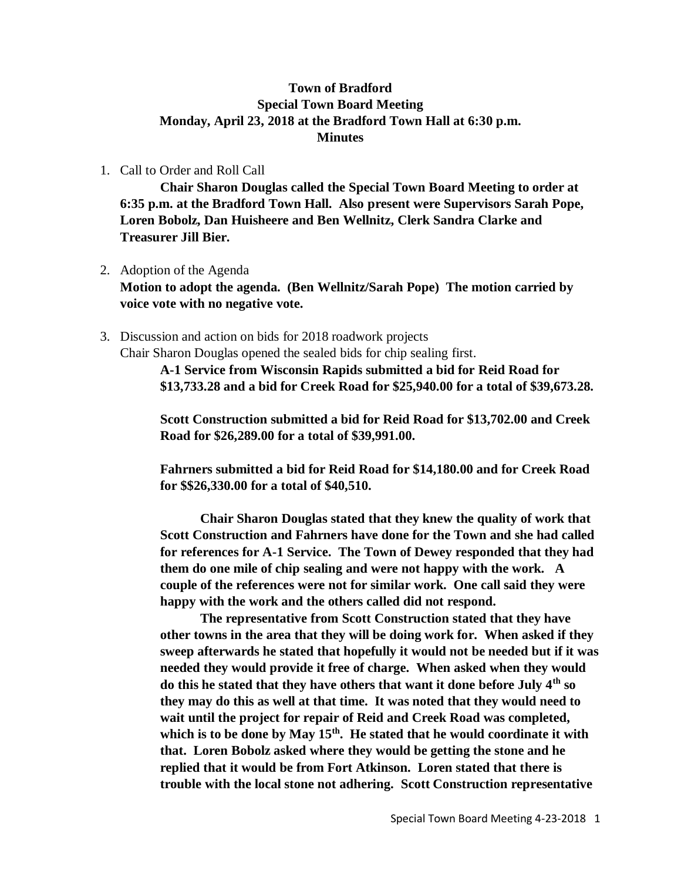## **Town of Bradford Special Town Board Meeting Monday, April 23, 2018 at the Bradford Town Hall at 6:30 p.m. Minutes**

1. Call to Order and Roll Call

**Chair Sharon Douglas called the Special Town Board Meeting to order at 6:35 p.m. at the Bradford Town Hall. Also present were Supervisors Sarah Pope, Loren Bobolz, Dan Huisheere and Ben Wellnitz, Clerk Sandra Clarke and Treasurer Jill Bier.**

- 2. Adoption of the Agenda **Motion to adopt the agenda. (Ben Wellnitz/Sarah Pope) The motion carried by voice vote with no negative vote.**
- 3. Discussion and action on bids for 2018 roadwork projects

Chair Sharon Douglas opened the sealed bids for chip sealing first.

**A-1 Service from Wisconsin Rapids submitted a bid for Reid Road for \$13,733.28 and a bid for Creek Road for \$25,940.00 for a total of \$39,673.28.**

**Scott Construction submitted a bid for Reid Road for \$13,702.00 and Creek Road for \$26,289.00 for a total of \$39,991.00.**

**Fahrners submitted a bid for Reid Road for \$14,180.00 and for Creek Road for \$\$26,330.00 for a total of \$40,510.**

**Chair Sharon Douglas stated that they knew the quality of work that Scott Construction and Fahrners have done for the Town and she had called for references for A-1 Service. The Town of Dewey responded that they had them do one mile of chip sealing and were not happy with the work. A couple of the references were not for similar work. One call said they were happy with the work and the others called did not respond.**

**The representative from Scott Construction stated that they have other towns in the area that they will be doing work for. When asked if they sweep afterwards he stated that hopefully it would not be needed but if it was needed they would provide it free of charge. When asked when they would do this he stated that they have others that want it done before July 4th so they may do this as well at that time. It was noted that they would need to wait until the project for repair of Reid and Creek Road was completed, which is to be done by May 15th. He stated that he would coordinate it with that. Loren Bobolz asked where they would be getting the stone and he replied that it would be from Fort Atkinson. Loren stated that there is trouble with the local stone not adhering. Scott Construction representative**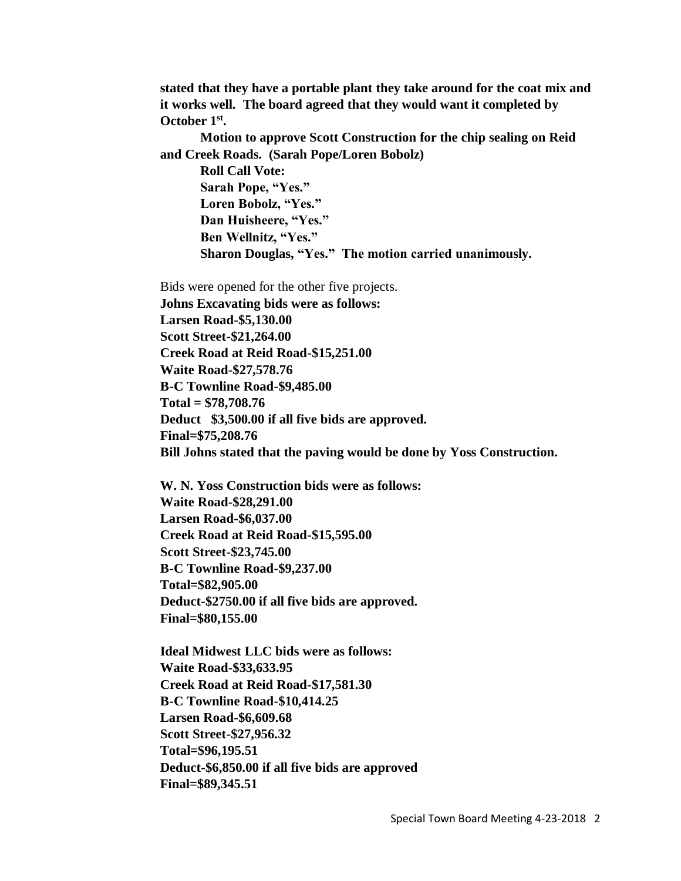**stated that they have a portable plant they take around for the coat mix and it works well. The board agreed that they would want it completed by October 1st .**

**Motion to approve Scott Construction for the chip sealing on Reid and Creek Roads. (Sarah Pope/Loren Bobolz)**

**Roll Call Vote: Sarah Pope, "Yes." Loren Bobolz, "Yes." Dan Huisheere, "Yes." Ben Wellnitz, "Yes." Sharon Douglas, "Yes." The motion carried unanimously.**

Bids were opened for the other five projects. **Johns Excavating bids were as follows: Larsen Road-\$5,130.00 Scott Street-\$21,264.00 Creek Road at Reid Road-\$15,251.00 Waite Road-\$27,578.76 B-C Townline Road-\$9,485.00 Total = \$78,708.76 Deduct \$3,500.00 if all five bids are approved. Final=\$75,208.76 Bill Johns stated that the paving would be done by Yoss Construction.**

**W. N. Yoss Construction bids were as follows: Waite Road-\$28,291.00 Larsen Road-\$6,037.00 Creek Road at Reid Road-\$15,595.00 Scott Street-\$23,745.00 B-C Townline Road-\$9,237.00 Total=\$82,905.00 Deduct-\$2750.00 if all five bids are approved. Final=\$80,155.00**

**Ideal Midwest LLC bids were as follows: Waite Road-\$33,633.95 Creek Road at Reid Road-\$17,581.30 B-C Townline Road-\$10,414.25 Larsen Road-\$6,609.68 Scott Street-\$27,956.32 Total=\$96,195.51 Deduct-\$6,850.00 if all five bids are approved Final=\$89,345.51**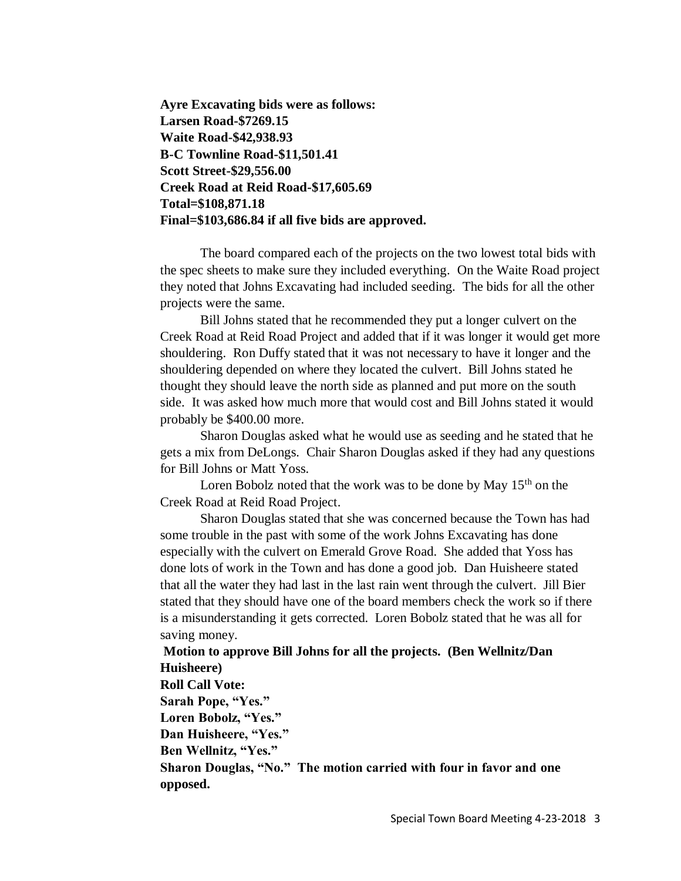**Ayre Excavating bids were as follows: Larsen Road-\$7269.15 Waite Road-\$42,938.93 B-C Townline Road-\$11,501.41 Scott Street-\$29,556.00 Creek Road at Reid Road-\$17,605.69 Total=\$108,871.18 Final=\$103,686.84 if all five bids are approved.**

The board compared each of the projects on the two lowest total bids with the spec sheets to make sure they included everything. On the Waite Road project they noted that Johns Excavating had included seeding. The bids for all the other projects were the same.

Bill Johns stated that he recommended they put a longer culvert on the Creek Road at Reid Road Project and added that if it was longer it would get more shouldering. Ron Duffy stated that it was not necessary to have it longer and the shouldering depended on where they located the culvert. Bill Johns stated he thought they should leave the north side as planned and put more on the south side. It was asked how much more that would cost and Bill Johns stated it would probably be \$400.00 more.

Sharon Douglas asked what he would use as seeding and he stated that he gets a mix from DeLongs. Chair Sharon Douglas asked if they had any questions for Bill Johns or Matt Yoss.

Loren Bobolz noted that the work was to be done by May 15<sup>th</sup> on the Creek Road at Reid Road Project.

Sharon Douglas stated that she was concerned because the Town has had some trouble in the past with some of the work Johns Excavating has done especially with the culvert on Emerald Grove Road. She added that Yoss has done lots of work in the Town and has done a good job. Dan Huisheere stated that all the water they had last in the last rain went through the culvert. Jill Bier stated that they should have one of the board members check the work so if there is a misunderstanding it gets corrected. Loren Bobolz stated that he was all for saving money.

## **Motion to approve Bill Johns for all the projects. (Ben Wellnitz/Dan Huisheere)**

## **Roll Call Vote: Sarah Pope, "Yes." Loren Bobolz, "Yes." Dan Huisheere, "Yes." Ben Wellnitz, "Yes." Sharon Douglas, "No." The motion carried with four in favor and one opposed.**